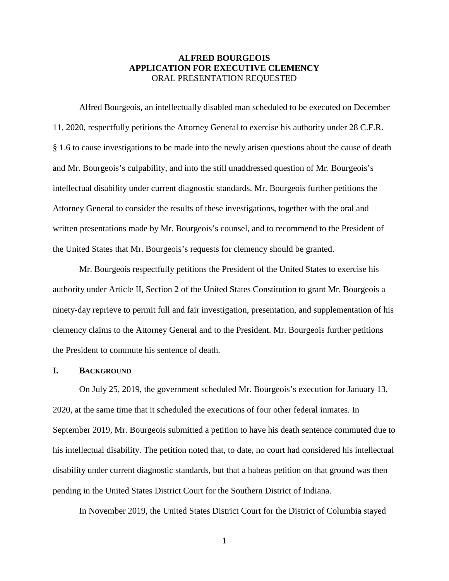### **ALFRED BOURGEOIS APPLICATION FOR EXECUTIVE CLEMENCY** ORAL PRESENTATION REQUESTED

Alfred Bourgeois, an intellectually disabled man scheduled to be executed on December 11, 2020, respectfully petitions the Attorney General to exercise his authority under 28 C.F.R. § 1.6 to cause investigations to be made into the newly arisen questions about the cause of death and Mr. Bourgeois's culpability, and into the still unaddressed question of Mr. Bourgeois's intellectual disability under current diagnostic standards. Mr. Bourgeois further petitions the Attorney General to consider the results of these investigations, together with the oral and written presentations made by Mr. Bourgeois's counsel, and to recommend to the President of the United States that Mr. Bourgeois's requests for clemency should be granted.

Mr. Bourgeois respectfully petitions the President of the United States to exercise his authority under Article II, Section 2 of the United States Constitution to grant Mr. Bourgeois a ninety-day reprieve to permit full and fair investigation, presentation, and supplementation of his clemency claims to the Attorney General and to the President. Mr. Bourgeois further petitions the President to commute his sentence of death.

#### **I. BACKGROUND**

On July 25, 2019, the government scheduled Mr. Bourgeois's execution for January 13, 2020, at the same time that it scheduled the executions of four other federal inmates. In September 2019, Mr. Bourgeois submitted a petition to have his death sentence commuted due to his intellectual disability. The petition noted that, to date, no court had considered his intellectual disability under current diagnostic standards, but that a habeas petition on that ground was then pending in the United States District Court for the Southern District of Indiana.

In November 2019, the United States District Court for the District of Columbia stayed

1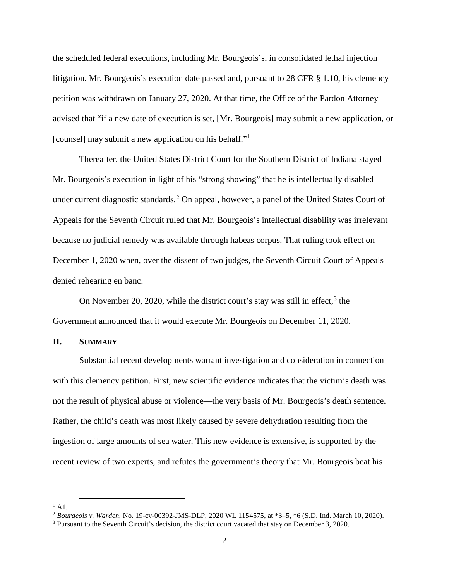the scheduled federal executions, including Mr. Bourgeois's, in consolidated lethal injection litigation. Mr. Bourgeois's execution date passed and, pursuant to 28 CFR § 1.10, his clemency petition was withdrawn on January 27, 2020. At that time, the Office of the Pardon Attorney advised that "if a new date of execution is set, [Mr. Bourgeois] may submit a new application, or [counsel] may submit a new application on his behalf."[1](#page-1-0)

Thereafter, the United States District Court for the Southern District of Indiana stayed Mr. Bourgeois's execution in light of his "strong showing" that he is intellectually disabled under current diagnostic standards.<sup>[2](#page-1-1)</sup> On appeal, however, a panel of the United States Court of Appeals for the Seventh Circuit ruled that Mr. Bourgeois's intellectual disability was irrelevant because no judicial remedy was available through habeas corpus. That ruling took effect on December 1, 2020 when, over the dissent of two judges, the Seventh Circuit Court of Appeals denied rehearing en banc.

On November 20, 2020, while the district court's stay was still in effect,<sup>[3](#page-1-2)</sup> the Government announced that it would execute Mr. Bourgeois on December 11, 2020.

#### **II. SUMMARY**

Substantial recent developments warrant investigation and consideration in connection with this clemency petition. First, new scientific evidence indicates that the victim's death was not the result of physical abuse or violence—the very basis of Mr. Bourgeois's death sentence. Rather, the child's death was most likely caused by severe dehydration resulting from the ingestion of large amounts of sea water. This new evidence is extensive, is supported by the recent review of two experts, and refutes the government's theory that Mr. Bourgeois beat his

 $<sup>1</sup>$  A1.</sup>

<span id="page-1-1"></span><span id="page-1-0"></span><sup>2</sup> *Bourgeois v. Warden*, No. 19-cv-00392-JMS-DLP, 2020 WL 1154575, at \*3–5, \*6 (S.D. Ind. March 10, 2020).

<span id="page-1-2"></span><sup>&</sup>lt;sup>3</sup> Pursuant to the Seventh Circuit's decision, the district court vacated that stay on December 3, 2020.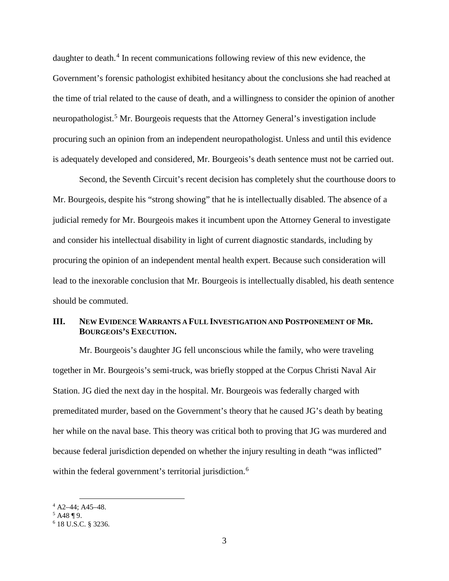daughter to death.<sup>[4](#page-2-0)</sup> In recent communications following review of this new evidence, the Government's forensic pathologist exhibited hesitancy about the conclusions she had reached at the time of trial related to the cause of death, and a willingness to consider the opinion of another neuropathologist.<sup>[5](#page-2-1)</sup> Mr. Bourgeois requests that the Attorney General's investigation include procuring such an opinion from an independent neuropathologist. Unless and until this evidence is adequately developed and considered, Mr. Bourgeois's death sentence must not be carried out.

Second, the Seventh Circuit's recent decision has completely shut the courthouse doors to Mr. Bourgeois, despite his "strong showing" that he is intellectually disabled. The absence of a judicial remedy for Mr. Bourgeois makes it incumbent upon the Attorney General to investigate and consider his intellectual disability in light of current diagnostic standards, including by procuring the opinion of an independent mental health expert. Because such consideration will lead to the inexorable conclusion that Mr. Bourgeois is intellectually disabled, his death sentence should be commuted.

## **III. NEW EVIDENCE WARRANTS A FULL INVESTIGATION AND POSTPONEMENT OF MR. BOURGEOIS'S EXECUTION.**

Mr. Bourgeois's daughter JG fell unconscious while the family, who were traveling together in Mr. Bourgeois's semi-truck, was briefly stopped at the Corpus Christi Naval Air Station. JG died the next day in the hospital. Mr. Bourgeois was federally charged with premeditated murder, based on the Government's theory that he caused JG's death by beating her while on the naval base. This theory was critical both to proving that JG was murdered and because federal jurisdiction depended on whether the injury resulting in death "was inflicted" within the federal government's territorial jurisdiction.<sup>[6](#page-2-2)</sup>

<span id="page-2-0"></span> $^{4}$  A2–44; A45–48.<br><sup>5</sup> A48 ¶ 9.

<span id="page-2-2"></span><span id="page-2-1"></span><sup>6</sup> 18 U.S.C. § 3236.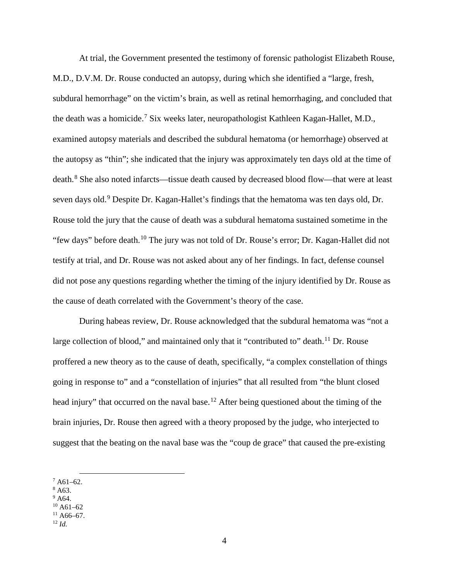At trial, the Government presented the testimony of forensic pathologist Elizabeth Rouse, M.D., D.V.M. Dr. Rouse conducted an autopsy, during which she identified a "large, fresh, subdural hemorrhage" on the victim's brain, as well as retinal hemorrhaging, and concluded that the death was a homicide.<sup>[7](#page-3-0)</sup> Six weeks later, neuropathologist Kathleen Kagan-Hallet, M.D., examined autopsy materials and described the subdural hematoma (or hemorrhage) observed at the autopsy as "thin"; she indicated that the injury was approximately ten days old at the time of death. [8](#page-3-1) She also noted infarcts—tissue death caused by decreased blood flow—that were at least seven days old.<sup>[9](#page-3-2)</sup> Despite Dr. Kagan-Hallet's findings that the hematoma was ten days old, Dr. Rouse told the jury that the cause of death was a subdural hematoma sustained sometime in the "few days" before death.<sup>[10](#page-3-3)</sup> The jury was not told of Dr. Rouse's error; Dr. Kagan-Hallet did not testify at trial, and Dr. Rouse was not asked about any of her findings. In fact, defense counsel did not pose any questions regarding whether the timing of the injury identified by Dr. Rouse as the cause of death correlated with the Government's theory of the case.

During habeas review, Dr. Rouse acknowledged that the subdural hematoma was "not a large collection of blood," and maintained only that it "contributed to" death.<sup>[11](#page-3-4)</sup> Dr. Rouse proffered a new theory as to the cause of death, specifically, "a complex constellation of things going in response to" and a "constellation of injuries" that all resulted from "the blunt closed head injury" that occurred on the naval base.<sup>[12](#page-3-5)</sup> After being questioned about the timing of the brain injuries, Dr. Rouse then agreed with a theory proposed by the judge, who interjected to suggest that the beating on the naval base was the "coup de grace" that caused the pre-existing

- <span id="page-3-1"></span><sup>8</sup> A63.
- <span id="page-3-3"></span><span id="page-3-2"></span> $9^9$  A64.

<span id="page-3-5"></span><span id="page-3-4"></span> $^{11}$  A66–67.<br><sup>12</sup> *Id.* 

<span id="page-3-0"></span> $7 A61-62.$ 

 $10$  A61–62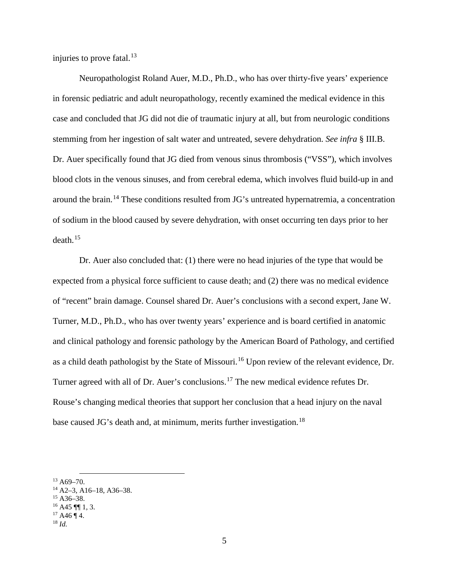injuries to prove fatal. $^{13}$  $^{13}$  $^{13}$ 

Neuropathologist Roland Auer, M.D., Ph.D., who has over thirty-five years' experience in forensic pediatric and adult neuropathology, recently examined the medical evidence in this case and concluded that JG did not die of traumatic injury at all, but from neurologic conditions stemming from her ingestion of salt water and untreated, severe dehydration. *See infra* § III.B. Dr. Auer specifically found that JG died from venous sinus thrombosis ("VSS"), which involves blood clots in the venous sinuses, and from cerebral edema, which involves fluid build-up in and around the brain.[14](#page-4-1) These conditions resulted from JG's untreated hypernatremia, a concentration of sodium in the blood caused by severe dehydration, with onset occurring ten days prior to her  $death<sup>15</sup>$  $death<sup>15</sup>$  $death<sup>15</sup>$ 

Dr. Auer also concluded that: (1) there were no head injuries of the type that would be expected from a physical force sufficient to cause death; and (2) there was no medical evidence of "recent" brain damage. Counsel shared Dr. Auer's conclusions with a second expert, Jane W. Turner, M.D., Ph.D., who has over twenty years' experience and is board certified in anatomic and clinical pathology and forensic pathology by the American Board of Pathology, and certified as a child death pathologist by the State of Missouri.<sup>[16](#page-4-3)</sup> Upon review of the relevant evidence, Dr. Turner agreed with all of Dr. Auer's conclusions.[17](#page-4-4) The new medical evidence refutes Dr. Rouse's changing medical theories that support her conclusion that a head injury on the naval base caused JG's death and, at minimum, merits further investigation.<sup>[18](#page-4-5)</sup>

<span id="page-4-0"></span> $13$  A69-70.

<span id="page-4-1"></span><sup>14</sup> A2–3, A16–18, A36–38.

<span id="page-4-2"></span> $15$  A36-38.

<span id="page-4-3"></span> $16$  A45 ¶ 1, 3.

<span id="page-4-4"></span> $17$  A46 ¶ 4.

<span id="page-4-5"></span><sup>18</sup> *Id.*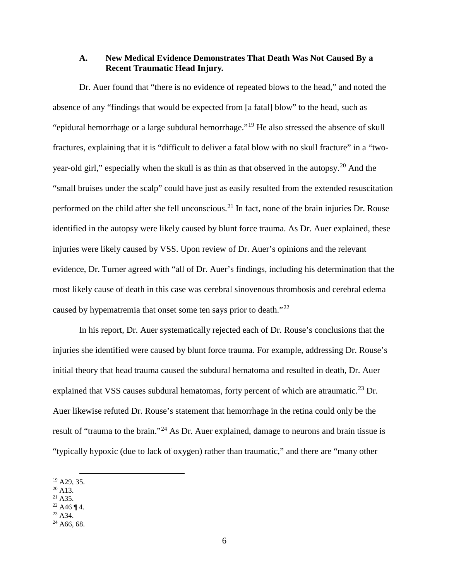### **A. New Medical Evidence Demonstrates That Death Was Not Caused By a Recent Traumatic Head Injury.**

Dr. Auer found that "there is no evidence of repeated blows to the head," and noted the absence of any "findings that would be expected from [a fatal] blow" to the head, such as "epidural hemorrhage or a large subdural hemorrhage."[19](#page-5-0) He also stressed the absence of skull fractures, explaining that it is "difficult to deliver a fatal blow with no skull fracture" in a "two-year-old girl," especially when the skull is as thin as that observed in the autopsy.<sup>[20](#page-5-1)</sup> And the "small bruises under the scalp" could have just as easily resulted from the extended resuscitation performed on the child after she fell unconscious.<sup>[21](#page-5-2)</sup> In fact, none of the brain injuries Dr. Rouse identified in the autopsy were likely caused by blunt force trauma. As Dr. Auer explained, these injuries were likely caused by VSS. Upon review of Dr. Auer's opinions and the relevant evidence, Dr. Turner agreed with "all of Dr. Auer's findings, including his determination that the most likely cause of death in this case was cerebral sinovenous thrombosis and cerebral edema caused by hypematremia that onset some ten says prior to death."<sup>[22](#page-5-3)</sup>

In his report, Dr. Auer systematically rejected each of Dr. Rouse's conclusions that the injuries she identified were caused by blunt force trauma. For example, addressing Dr. Rouse's initial theory that head trauma caused the subdural hematoma and resulted in death, Dr. Auer explained that VSS causes subdural hematomas, forty percent of which are atraumatic.<sup>[23](#page-5-4)</sup> Dr. Auer likewise refuted Dr. Rouse's statement that hemorrhage in the retina could only be the result of "trauma to the brain."<sup>[24](#page-5-5)</sup> As Dr. Auer explained, damage to neurons and brain tissue is "typically hypoxic (due to lack of oxygen) rather than traumatic," and there are "many other

 $21$  A35.

 $23$  A 34.

<span id="page-5-0"></span> $19$  A29, 35.

<span id="page-5-1"></span><sup>&</sup>lt;sup>20</sup> A13.

<span id="page-5-4"></span><span id="page-5-3"></span><span id="page-5-2"></span> $^{22}$  A46 ¶ 4.

<span id="page-5-5"></span> $24$  A66, 68.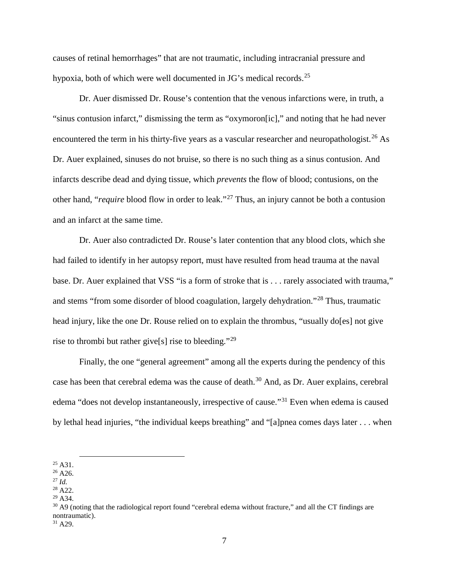causes of retinal hemorrhages" that are not traumatic, including intracranial pressure and hypoxia, both of which were well documented in JG's medical records.<sup>[25](#page-6-0)</sup>

Dr. Auer dismissed Dr. Rouse's contention that the venous infarctions were, in truth, a "sinus contusion infarct," dismissing the term as "oxymoron[ic]," and noting that he had never encountered the term in his thirty-five years as a vascular researcher and neuropathologist.<sup>[26](#page-6-1)</sup> As Dr. Auer explained, sinuses do not bruise, so there is no such thing as a sinus contusion. And infarcts describe dead and dying tissue, which *prevents* the flow of blood; contusions, on the other hand, "*require* blood flow in order to leak."[27](#page-6-2) Thus, an injury cannot be both a contusion and an infarct at the same time.

Dr. Auer also contradicted Dr. Rouse's later contention that any blood clots, which she had failed to identify in her autopsy report, must have resulted from head trauma at the naval base. Dr. Auer explained that VSS "is a form of stroke that is . . . rarely associated with trauma," and stems "from some disorder of blood coagulation, largely dehydration."[28](#page-6-3) Thus, traumatic head injury, like the one Dr. Rouse relied on to explain the thrombus, "usually do [es] not give rise to thrombi but rather give[s] rise to bleeding."[29](#page-6-4)

Finally, the one "general agreement" among all the experts during the pendency of this case has been that cerebral edema was the cause of death. [30](#page-6-5) And, as Dr. Auer explains, cerebral edema "does not develop instantaneously, irrespective of cause."[31](#page-6-6) Even when edema is caused by lethal head injuries, "the individual keeps breathing" and "[a]pnea comes days later . . . when

<span id="page-6-0"></span> $25$  A31.

<span id="page-6-1"></span> $26$  A26.

<span id="page-6-2"></span><sup>27</sup> *Id.*

<span id="page-6-3"></span><sup>28</sup> A22.  $29$  A34.

<span id="page-6-4"></span>

<span id="page-6-5"></span> $30$  A9 (noting that the radiological report found "cerebral edema without fracture," and all the CT findings are nontraumatic).

<span id="page-6-6"></span> $31$  A29.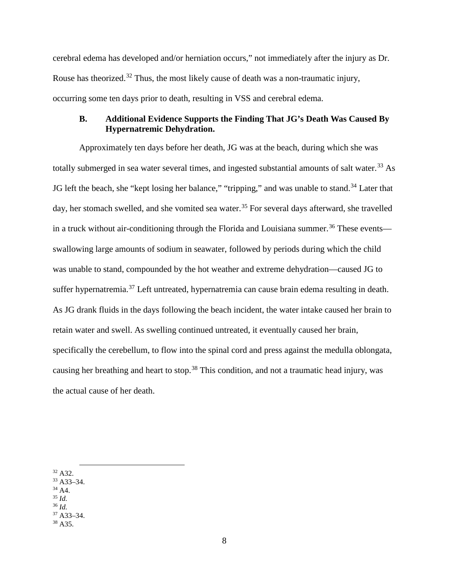cerebral edema has developed and/or herniation occurs," not immediately after the injury as Dr. Rouse has theorized.<sup>[32](#page-7-0)</sup> Thus, the most likely cause of death was a non-traumatic injury, occurring some ten days prior to death, resulting in VSS and cerebral edema.

# **B. Additional Evidence Supports the Finding That JG's Death Was Caused By Hypernatremic Dehydration.**

Approximately ten days before her death, JG was at the beach, during which she was totally submerged in sea water several times, and ingested substantial amounts of salt water.<sup>[33](#page-7-1)</sup> As JG left the beach, she "kept losing her balance," "tripping," and was unable to stand.<sup>[34](#page-7-2)</sup> Later that day, her stomach swelled, and she vomited sea water.<sup>[35](#page-7-3)</sup> For several days afterward, she travelled in a truck without air-conditioning through the Florida and Louisiana summer.<sup>[36](#page-7-4)</sup> These events swallowing large amounts of sodium in seawater, followed by periods during which the child was unable to stand, compounded by the hot weather and extreme dehydration—caused JG to suffer hypernatremia.<sup>[37](#page-7-5)</sup> Left untreated, hypernatremia can cause brain edema resulting in death. As JG drank fluids in the days following the beach incident, the water intake caused her brain to retain water and swell. As swelling continued untreated, it eventually caused her brain, specifically the cerebellum, to flow into the spinal cord and press against the medulla oblongata, causing her breathing and heart to stop.<sup>[38](#page-7-6)</sup> This condition, and not a traumatic head injury, was the actual cause of her death.

- <span id="page-7-1"></span><sup>33</sup> A33–34.
- $34$  A4.
- <span id="page-7-3"></span><span id="page-7-2"></span><sup>35</sup> *Id.*
- <span id="page-7-5"></span><span id="page-7-4"></span><sup>36</sup> *Id.*
- $37 A33 34.$

<span id="page-7-0"></span> <sup>32</sup> A32.

<span id="page-7-6"></span> $38$  A35.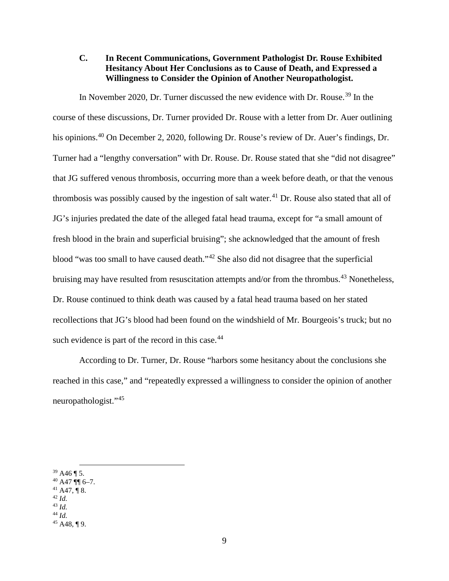## **C. In Recent Communications, Government Pathologist Dr. Rouse Exhibited Hesitancy About Her Conclusions as to Cause of Death, and Expressed a Willingness to Consider the Opinion of Another Neuropathologist.**

In November 2020, Dr. Turner discussed the new evidence with Dr. Rouse.<sup>[39](#page-8-0)</sup> In the course of these discussions, Dr. Turner provided Dr. Rouse with a letter from Dr. Auer outlining his opinions.<sup>[40](#page-8-1)</sup> On December 2, 2020, following Dr. Rouse's review of Dr. Auer's findings, Dr. Turner had a "lengthy conversation" with Dr. Rouse. Dr. Rouse stated that she "did not disagree" that JG suffered venous thrombosis, occurring more than a week before death, or that the venous thrombosis was possibly caused by the ingestion of salt water.<sup>[41](#page-8-2)</sup> Dr. Rouse also stated that all of JG's injuries predated the date of the alleged fatal head trauma, except for "a small amount of fresh blood in the brain and superficial bruising"; she acknowledged that the amount of fresh blood "was too small to have caused death."[42](#page-8-3) She also did not disagree that the superficial bruising may have resulted from resuscitation attempts and/or from the thrombus.<sup>[43](#page-8-4)</sup> Nonetheless, Dr. Rouse continued to think death was caused by a fatal head trauma based on her stated recollections that JG's blood had been found on the windshield of Mr. Bourgeois's truck; but no such evidence is part of the record in this case.<sup>[44](#page-8-5)</sup>

According to Dr. Turner, Dr. Rouse "harbors some hesitancy about the conclusions she reached in this case," and "repeatedly expressed a willingness to consider the opinion of another neuropathologist."[45](#page-8-6)

<span id="page-8-0"></span> $39$  A46 ¶ 5.

<span id="page-8-1"></span> $40$  A47 ¶¶ 6-7.

<span id="page-8-2"></span> $41$  A47, ¶ 8.

<span id="page-8-3"></span><sup>42</sup> *Id.*

<span id="page-8-4"></span><sup>43</sup> *Id.* <sup>44</sup> *Id.*

<span id="page-8-6"></span><span id="page-8-5"></span> $45$  A48, ¶ 9.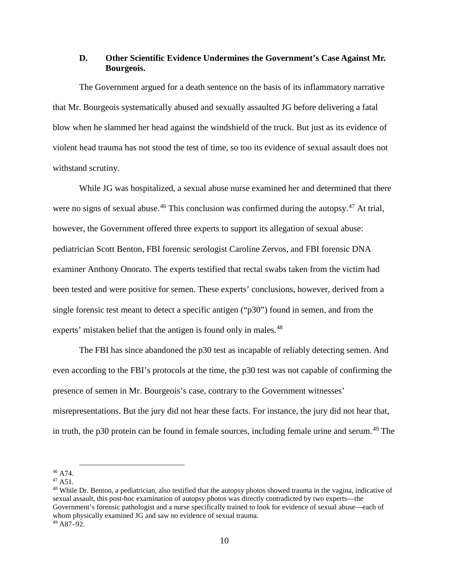### **D. Other Scientific Evidence Undermines the Government's Case Against Mr. Bourgeois.**

The Government argued for a death sentence on the basis of its inflammatory narrative that Mr. Bourgeois systematically abused and sexually assaulted JG before delivering a fatal blow when he slammed her head against the windshield of the truck. But just as its evidence of violent head trauma has not stood the test of time, so too its evidence of sexual assault does not withstand scrutiny.

While JG was hospitalized, a sexual abuse nurse examined her and determined that there were no signs of sexual abuse.<sup>[46](#page-9-0)</sup> This conclusion was confirmed during the autopsy.<sup>[47](#page-9-1)</sup> At trial, however, the Government offered three experts to support its allegation of sexual abuse: pediatrician Scott Benton, FBI forensic serologist Caroline Zervos, and FBI forensic DNA examiner Anthony Onorato. The experts testified that rectal swabs taken from the victim had been tested and were positive for semen. These experts' conclusions, however, derived from a single forensic test meant to detect a specific antigen ("p30") found in semen, and from the experts' mistaken belief that the antigen is found only in males.<sup>[48](#page-9-2)</sup>

The FBI has since abandoned the p30 test as incapable of reliably detecting semen. And even according to the FBI's protocols at the time, the p30 test was not capable of confirming the presence of semen in Mr. Bourgeois's case, contrary to the Government witnesses' misrepresentations. But the jury did not hear these facts. For instance, the jury did not hear that, in truth, the p30 protein can be found in female sources, including female urine and serum.<sup>[49](#page-9-3)</sup> The

<span id="page-9-3"></span><span id="page-9-2"></span><sup>48</sup> While Dr. Benton, a pediatrician, also testified that the autopsy photos showed trauma in the vagina, indicative of sexual assault, this post-hoc examination of autopsy photos was directly contradicted by two experts—the Government's forensic pathologist and a nurse specifically trained to look for evidence of sexual abuse—each of whom physically examined JG and saw no evidence of sexual trauma.  $49$  A87-92.

<span id="page-9-0"></span> <sup>46</sup> A74.

<span id="page-9-1"></span><sup>47</sup> A51.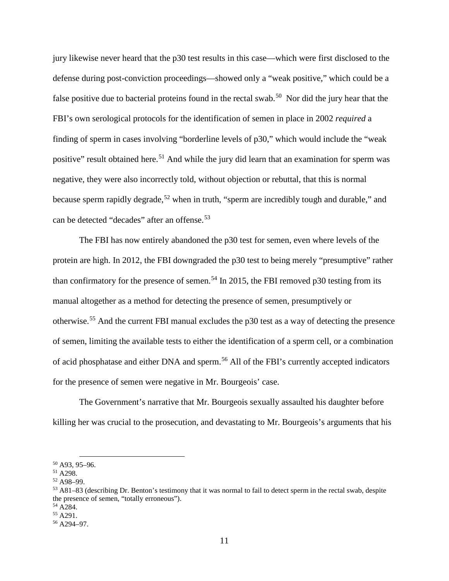jury likewise never heard that the p30 test results in this case—which were first disclosed to the defense during post-conviction proceedings—showed only a "weak positive," which could be a false positive due to bacterial proteins found in the rectal swab.<sup>[50](#page-10-0)</sup> Nor did the jury hear that the FBI's own serological protocols for the identification of semen in place in 2002 *required* a finding of sperm in cases involving "borderline levels of p30," which would include the "weak positive" result obtained here.<sup>[51](#page-10-1)</sup> And while the jury did learn that an examination for sperm was negative, they were also incorrectly told, without objection or rebuttal, that this is normal because sperm rapidly degrade,<sup>[52](#page-10-2)</sup> when in truth, "sperm are incredibly tough and durable," and can be detected "decades" after an offense.<sup>[53](#page-10-3)</sup>

The FBI has now entirely abandoned the p30 test for semen, even where levels of the protein are high. In 2012, the FBI downgraded the p30 test to being merely "presumptive" rather than confirmatory for the presence of semen.<sup>[54](#page-10-4)</sup> In 2015, the FBI removed p30 testing from its manual altogether as a method for detecting the presence of semen, presumptively or otherwise.[55](#page-10-5) And the current FBI manual excludes the p30 test as a way of detecting the presence of semen, limiting the available tests to either the identification of a sperm cell, or a combination of acid phosphatase and either DNA and sperm. [56](#page-10-6) All of the FBI's currently accepted indicators for the presence of semen were negative in Mr. Bourgeois' case.

The Government's narrative that Mr. Bourgeois sexually assaulted his daughter before killing her was crucial to the prosecution, and devastating to Mr. Bourgeois's arguments that his

<span id="page-10-0"></span> <sup>50</sup> A93, 95–96.

<span id="page-10-1"></span><sup>51</sup> A298.

<span id="page-10-2"></span><sup>52</sup> A98–99.

<span id="page-10-3"></span><sup>53</sup> A81–83 (describing Dr. Benton's testimony that it was normal to fail to detect sperm in the rectal swab, despite the presence of semen, "totally erroneous").

<span id="page-10-4"></span><sup>54</sup> A284.

<span id="page-10-5"></span><sup>55</sup> A291.

<span id="page-10-6"></span><sup>56</sup> A294–97.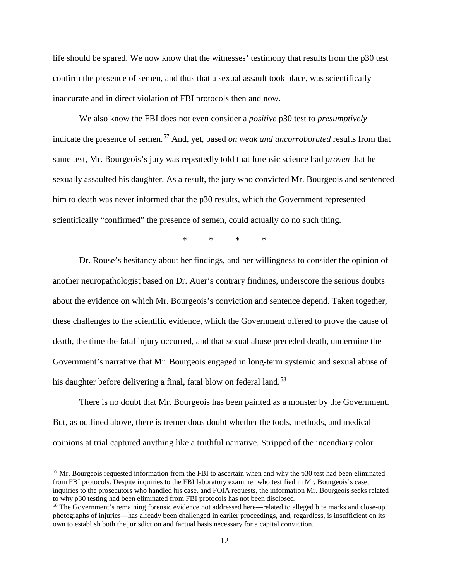life should be spared. We now know that the witnesses' testimony that results from the p30 test confirm the presence of semen, and thus that a sexual assault took place, was scientifically inaccurate and in direct violation of FBI protocols then and now.

We also know the FBI does not even consider a *positive* p30 test to *presumptively* indicate the presence of semen.<sup>[57](#page-11-0)</sup> And, yet, based *on weak and uncorroborated* results from that same test, Mr. Bourgeois's jury was repeatedly told that forensic science had *proven* that he sexually assaulted his daughter. As a result, the jury who convicted Mr. Bourgeois and sentenced him to death was never informed that the p30 results, which the Government represented scientifically "confirmed" the presence of semen, could actually do no such thing.

\* \* \* \*

Dr. Rouse's hesitancy about her findings, and her willingness to consider the opinion of another neuropathologist based on Dr. Auer's contrary findings, underscore the serious doubts about the evidence on which Mr. Bourgeois's conviction and sentence depend. Taken together, these challenges to the scientific evidence, which the Government offered to prove the cause of death, the time the fatal injury occurred, and that sexual abuse preceded death, undermine the Government's narrative that Mr. Bourgeois engaged in long-term systemic and sexual abuse of his daughter before delivering a final, fatal blow on federal land.<sup>[58](#page-11-1)</sup>

There is no doubt that Mr. Bourgeois has been painted as a monster by the Government. But, as outlined above, there is tremendous doubt whether the tools, methods, and medical opinions at trial captured anything like a truthful narrative. Stripped of the incendiary color

<span id="page-11-0"></span><sup>&</sup>lt;sup>57</sup> Mr. Bourgeois requested information from the FBI to ascertain when and why the p30 test had been eliminated from FBI protocols. Despite inquiries to the FBI laboratory examiner who testified in Mr. Bourgeois's case, inquiries to the prosecutors who handled his case, and FOIA requests, the information Mr. Bourgeois seeks related to why p30 testing had been eliminated from FBI protocols has not been disclosed.

<span id="page-11-1"></span><sup>58</sup> The Government's remaining forensic evidence not addressed here—related to alleged bite marks and close-up photographs of injuries—has already been challenged in earlier proceedings, and, regardless, is insufficient on its own to establish both the jurisdiction and factual basis necessary for a capital conviction.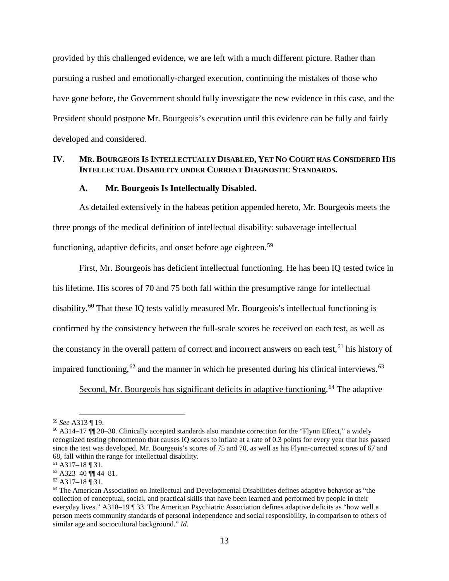provided by this challenged evidence, we are left with a much different picture. Rather than pursuing a rushed and emotionally-charged execution, continuing the mistakes of those who have gone before, the Government should fully investigate the new evidence in this case, and the President should postpone Mr. Bourgeois's execution until this evidence can be fully and fairly developed and considered.

#### **IV. MR. BOURGEOIS IS INTELLECTUALLY DISABLED, YET NO COURT HAS CONSIDERED HIS INTELLECTUAL DISABILITY UNDER CURRENT DIAGNOSTIC STANDARDS.**

#### **A. Mr. Bourgeois Is Intellectually Disabled.**

As detailed extensively in the habeas petition appended hereto, Mr. Bourgeois meets the three prongs of the medical definition of intellectual disability: subaverage intellectual functioning, adaptive deficits, and onset before age eighteen.<sup>[59](#page-12-0)</sup>

First, Mr. Bourgeois has deficient intellectual functioning. He has been IQ tested twice in his lifetime. His scores of 70 and 75 both fall within the presumptive range for intellectual disability.<sup>[60](#page-12-1)</sup> That these IQ tests validly measured Mr. Bourgeois's intellectual functioning is confirmed by the consistency between the full-scale scores he received on each test, as well as the constancy in the overall pattern of correct and incorrect answers on each test,<sup>[61](#page-12-2)</sup> his history of impaired functioning, <sup>[62](#page-12-3)</sup> and the manner in which he presented during his clinical interviews. <sup>[63](#page-12-4)</sup>

Second, Mr. Bourgeois has significant deficits in adaptive functioning.<sup>[64](#page-12-5)</sup> The adaptive

<span id="page-12-0"></span> <sup>59</sup> *See* A313 ¶ 19.

<span id="page-12-1"></span> $60$  A314–17  $\hat{=}$  17  $\hat{=}$  20–30. Clinically accepted standards also mandate correction for the "Flynn Effect," a widely recognized testing phenomenon that causes IQ scores to inflate at a rate of 0.3 points for every year that has passed since the test was developed. Mr. Bourgeois's scores of 75 and 70, as well as his Flynn-corrected scores of 67 and 68, fall within the range for intellectual disability.

<span id="page-12-2"></span><sup>61</sup> A317–18 ¶ 31.

<span id="page-12-3"></span> $62$  A323-40  $\P\P$  44-81.

<span id="page-12-4"></span> $63$  A317–18  $\overline{9}$  31.

<span id="page-12-5"></span><sup>64</sup> The American Association on Intellectual and Developmental Disabilities defines adaptive behavior as "the collection of conceptual, social, and practical skills that have been learned and performed by people in their everyday lives." A318–19 ¶ 33. The American Psychiatric Association defines adaptive deficits as "how well a person meets community standards of personal independence and social responsibility, in comparison to others of similar age and sociocultural background." *Id*.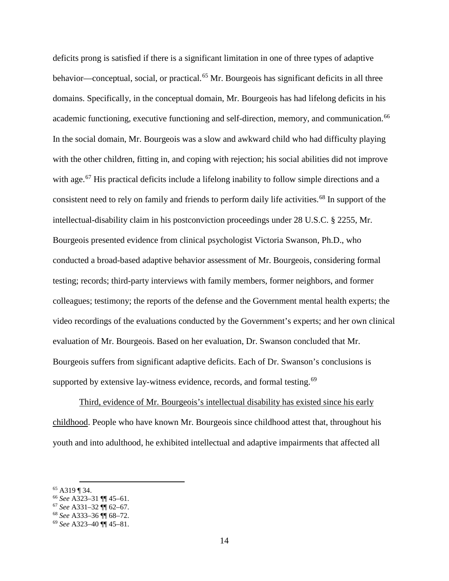deficits prong is satisfied if there is a significant limitation in one of three types of adaptive behavior—conceptual, social, or practical.<sup>[65](#page-13-0)</sup> Mr. Bourgeois has significant deficits in all three domains. Specifically, in the conceptual domain, Mr. Bourgeois has had lifelong deficits in his academic functioning, executive functioning and self-direction, memory, and communication.<sup>[66](#page-13-1)</sup> In the social domain, Mr. Bourgeois was a slow and awkward child who had difficulty playing with the other children, fitting in, and coping with rejection; his social abilities did not improve with age.<sup>[67](#page-13-2)</sup> His practical deficits include a lifelong inability to follow simple directions and a consistent need to rely on family and friends to perform daily life activities.<sup>[68](#page-13-3)</sup> In support of the intellectual-disability claim in his postconviction proceedings under 28 U.S.C. § 2255, Mr. Bourgeois presented evidence from clinical psychologist Victoria Swanson, Ph.D., who conducted a broad-based adaptive behavior assessment of Mr. Bourgeois, considering formal testing; records; third-party interviews with family members, former neighbors, and former colleagues; testimony; the reports of the defense and the Government mental health experts; the video recordings of the evaluations conducted by the Government's experts; and her own clinical evaluation of Mr. Bourgeois. Based on her evaluation, Dr. Swanson concluded that Mr. Bourgeois suffers from significant adaptive deficits. Each of Dr. Swanson's conclusions is supported by extensive lay-witness evidence, records, and formal testing.<sup>[69](#page-13-4)</sup>

Third, evidence of Mr. Bourgeois's intellectual disability has existed since his early childhood. People who have known Mr. Bourgeois since childhood attest that, throughout his youth and into adulthood, he exhibited intellectual and adaptive impairments that affected all

<span id="page-13-0"></span> <sup>65</sup> A319 ¶ 34.

<span id="page-13-1"></span><sup>66</sup> *See* A323–31 ¶¶ 45–61.

<span id="page-13-2"></span><sup>67</sup> *See* A331–32 ¶¶ 62–67.

<span id="page-13-3"></span><sup>68</sup> *See* A333–36 ¶¶ 68–72.

<span id="page-13-4"></span><sup>69</sup> *See* A323–40 ¶¶ 45–81.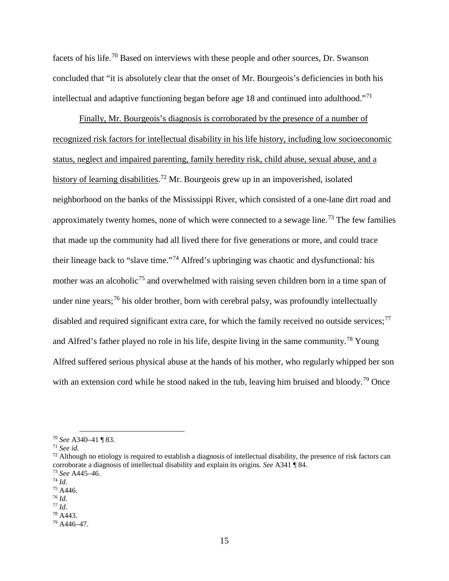facets of his life.[70](#page-14-0) Based on interviews with these people and other sources, Dr. Swanson concluded that "it is absolutely clear that the onset of Mr. Bourgeois's deficiencies in both his intellectual and adaptive functioning began before age 18 and continued into adulthood."[71](#page-14-1)

Finally, Mr. Bourgeois's diagnosis is corroborated by the presence of a number of recognized risk factors for intellectual disability in his life history, including low socioeconomic status, neglect and impaired parenting, family heredity risk, child abuse, sexual abuse, and a history of learning disabilities.<sup>[72](#page-14-2)</sup> Mr. Bourgeois grew up in an impoverished, isolated neighborhood on the banks of the Mississippi River, which consisted of a one-lane dirt road and approximately twenty homes, none of which were connected to a sewage line.<sup>[73](#page-14-3)</sup> The few families that made up the community had all lived there for five generations or more, and could trace their lineage back to "slave time."[74](#page-14-4) Alfred's upbringing was chaotic and dysfunctional: his mother was an alcoholic<sup>[75](#page-14-5)</sup> and overwhelmed with raising seven children born in a time span of under nine years;<sup>[76](#page-14-6)</sup> his older brother, born with cerebral palsy, was profoundly intellectually disabled and required significant extra care, for which the family received no outside services;  $^{77}$  $^{77}$  $^{77}$ and Alfred's father played no role in his life, despite living in the same community.<sup>[78](#page-14-8)</sup> Young Alfred suffered serious physical abuse at the hands of his mother, who regularly whipped her son with an extension cord while he stood naked in the tub, leaving him bruised and bloody.<sup>[79](#page-14-9)</sup> Once

<span id="page-14-0"></span><sup>70</sup> *See* A340–41 ¶ 83. 71 *See id.*

<span id="page-14-2"></span><span id="page-14-1"></span> $72$  Although no etiology is required to establish a diagnosis of intellectual disability, the presence of risk factors can corroborate a diagnosis of intellectual disability and explain its origins. *See* A341 ¶ 84. <sup>73</sup> *See* A445–46.

<span id="page-14-4"></span><span id="page-14-3"></span> $^{74}$  *Id.* 

<span id="page-14-5"></span><sup>75</sup> A446.

<span id="page-14-6"></span><sup>76</sup> *Id.* 

<span id="page-14-7"></span>

<span id="page-14-8"></span><sup>77</sup> *Id*. 78 A443.

<span id="page-14-9"></span><sup>79</sup> A446–47.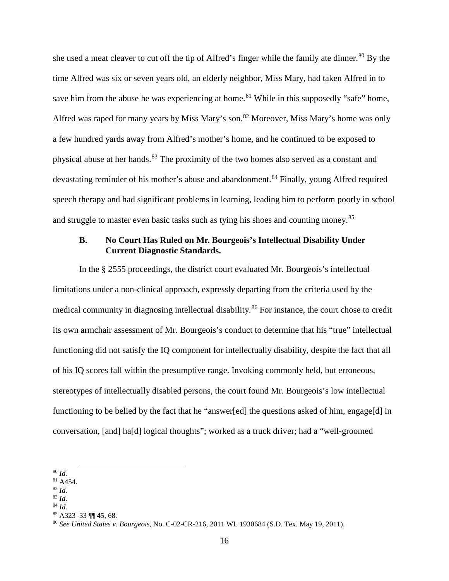she used a meat cleaver to cut off the tip of Alfred's finger while the family ate dinner.<sup>[80](#page-15-0)</sup> By the time Alfred was six or seven years old, an elderly neighbor, Miss Mary, had taken Alfred in to save him from the abuse he was experiencing at home.<sup>[81](#page-15-1)</sup> While in this supposedly "safe" home, Alfred was raped for many years by Miss Mary's son.<sup>[82](#page-15-2)</sup> Moreover, Miss Mary's home was only a few hundred yards away from Alfred's mother's home, and he continued to be exposed to physical abuse at her hands.<sup>[83](#page-15-3)</sup> The proximity of the two homes also served as a constant and devastating reminder of his mother's abuse and abandonment.<sup>[84](#page-15-4)</sup> Finally, young Alfred required speech therapy and had significant problems in learning, leading him to perform poorly in school and struggle to master even basic tasks such as tying his shoes and counting money.<sup>[85](#page-15-5)</sup>

### **B. No Court Has Ruled on Mr. Bourgeois's Intellectual Disability Under Current Diagnostic Standards.**

In the § 2555 proceedings, the district court evaluated Mr. Bourgeois's intellectual limitations under a non-clinical approach, expressly departing from the criteria used by the medical community in diagnosing intellectual disability.<sup>[86](#page-15-6)</sup> For instance, the court chose to credit its own armchair assessment of Mr. Bourgeois's conduct to determine that his "true" intellectual functioning did not satisfy the IQ component for intellectually disability, despite the fact that all of his IQ scores fall within the presumptive range. Invoking commonly held, but erroneous, stereotypes of intellectually disabled persons, the court found Mr. Bourgeois's low intellectual functioning to be belied by the fact that he "answer[ed] the questions asked of him, engage[d] in conversation, [and] ha[d] logical thoughts"; worked as a truck driver; had a "well-groomed

- 
- <span id="page-15-4"></span><span id="page-15-3"></span><span id="page-15-2"></span><sup>83</sup> *Id.* <sup>84</sup> *Id.*

<span id="page-15-0"></span> <sup>80</sup> *Id.* 

<span id="page-15-1"></span><sup>81</sup> A454. 82 *Id.* 

<span id="page-15-5"></span><sup>85</sup> A323–33 ¶¶ 45, 68.

<span id="page-15-6"></span><sup>86</sup> *See United States v. Bourgeois*, No. C-02-CR-216, 2011 WL 1930684 (S.D. Tex. May 19, 2011).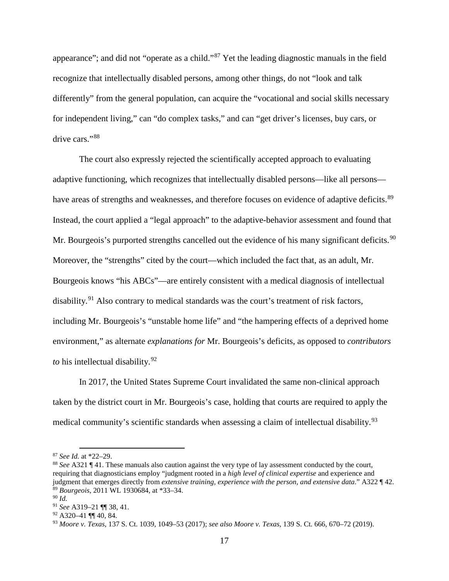appearance"; and did not "operate as a child."[87](#page-16-0) Yet the leading diagnostic manuals in the field recognize that intellectually disabled persons, among other things, do not "look and talk differently" from the general population, can acquire the "vocational and social skills necessary for independent living," can "do complex tasks," and can "get driver's licenses, buy cars, or drive cars."[88](#page-16-1)

The court also expressly rejected the scientifically accepted approach to evaluating adaptive functioning, which recognizes that intellectually disabled persons—like all persons— have areas of strengths and weaknesses, and therefore focuses on evidence of adaptive deficits.<sup>[89](#page-16-2)</sup> Instead, the court applied a "legal approach" to the adaptive-behavior assessment and found that Mr. Bourgeois's purported strengths cancelled out the evidence of his many significant deficits.<sup>[90](#page-16-3)</sup> Moreover, the "strengths" cited by the court—which included the fact that, as an adult, Mr. Bourgeois knows "his ABCs"—are entirely consistent with a medical diagnosis of intellectual disability.<sup>[91](#page-16-4)</sup> Also contrary to medical standards was the court's treatment of risk factors, including Mr. Bourgeois's "unstable home life" and "the hampering effects of a deprived home environment," as alternate *explanations for* Mr. Bourgeois's deficits, as opposed to *contributors to* his intellectual disability. [92](#page-16-5)

In 2017, the United States Supreme Court invalidated the same non-clinical approach taken by the district court in Mr. Bourgeois's case, holding that courts are required to apply the medical community's scientific standards when assessing a claim of intellectual disability.<sup>[93](#page-16-6)</sup>

<span id="page-16-0"></span> <sup>87</sup> *See Id.* at \*22–29.

<span id="page-16-1"></span><sup>88</sup> *See* A321 ¶ 41. These manuals also caution against the very type of lay assessment conducted by the court, requiring that diagnosticians employ "judgment rooted in a *high level of clinical expertise* and experience and judgment that emerges directly from *extensive training, experience with the person, and extensive data*." A322 ¶ 42. <sup>89</sup> *Bourgeois*, 2011 WL 1930684, at \*33–34.

<span id="page-16-3"></span><span id="page-16-2"></span><sup>90</sup> *Id.* 

<span id="page-16-4"></span><sup>91</sup> *See* A319–21 ¶¶ 38, 41.

<span id="page-16-5"></span> $92$  A320-41 ¶ 40, 84.

<span id="page-16-6"></span><sup>93</sup> *Moore v. Texas*, 137 S. Ct. 1039, 1049–53 (2017); *see also Moore v. Texas*, 139 S. Ct. 666, 670–72 (2019).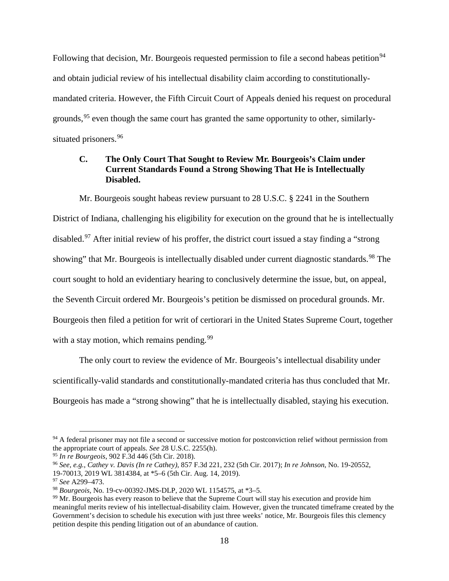Following that decision, Mr. Bourgeois requested permission to file a second habeas petition<sup>[94](#page-17-0)</sup> and obtain judicial review of his intellectual disability claim according to constitutionallymandated criteria. However, the Fifth Circuit Court of Appeals denied his request on procedural grounds,  $95$  even though the same court has granted the same opportunity to other, similarly-situated prisoners.<sup>[96](#page-17-2)</sup>

# **C. The Only Court That Sought to Review Mr. Bourgeois's Claim under Current Standards Found a Strong Showing That He is Intellectually Disabled.**

Mr. Bourgeois sought habeas review pursuant to 28 U.S.C. § 2241 in the Southern District of Indiana, challenging his eligibility for execution on the ground that he is intellectually disabled.[97](#page-17-3) After initial review of his proffer, the district court issued a stay finding a "strong showing" that Mr. Bourgeois is intellectually disabled under current diagnostic standards.<sup>[98](#page-17-4)</sup> The court sought to hold an evidentiary hearing to conclusively determine the issue, but, on appeal, the Seventh Circuit ordered Mr. Bourgeois's petition be dismissed on procedural grounds. Mr. Bourgeois then filed a petition for writ of certiorari in the United States Supreme Court, together with a stay motion, which remains pending.  $99$ 

The only court to review the evidence of Mr. Bourgeois's intellectual disability under scientifically-valid standards and constitutionally-mandated criteria has thus concluded that Mr. Bourgeois has made a "strong showing" that he is intellectually disabled, staying his execution.

<span id="page-17-0"></span><sup>&</sup>lt;sup>94</sup> A federal prisoner may not file a second or successive motion for postconviction relief without permission from the appropriate court of appeals. *See* 28 U.S.C. 2255(h).

<span id="page-17-1"></span><sup>95</sup> *In re Bourgeois*, 902 F.3d 446 (5th Cir. 2018).

<span id="page-17-2"></span><sup>96</sup> *See, e.g.*, *Cathey v. Davis (In re Cathey)*, 857 F.3d 221, 232 (5th Cir. 2017); *In re Johnson*, No. 19-20552, 19-70013, 2019 WL 3814384, at \*5–6 (5th Cir. Aug. 14, 2019).

<span id="page-17-3"></span><sup>97</sup> *See* A299–473.

<span id="page-17-4"></span><sup>98</sup> *Bourgeois*, No. 19-cv-00392-JMS-DLP, 2020 WL 1154575, at \*3–5.

<span id="page-17-5"></span><sup>&</sup>lt;sup>99</sup> Mr. Bourgeois has every reason to believe that the Supreme Court will stay his execution and provide him meaningful merits review of his intellectual-disability claim. However, given the truncated timeframe created by the Government's decision to schedule his execution with just three weeks' notice, Mr. Bourgeois files this clemency petition despite this pending litigation out of an abundance of caution.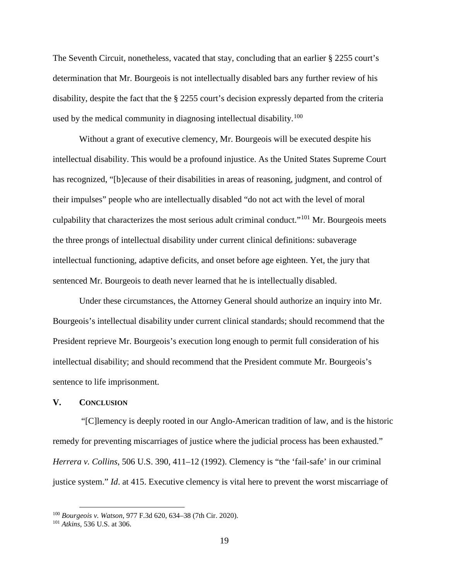The Seventh Circuit, nonetheless, vacated that stay, concluding that an earlier § 2255 court's determination that Mr. Bourgeois is not intellectually disabled bars any further review of his disability, despite the fact that the § 2255 court's decision expressly departed from the criteria used by the medical community in diagnosing intellectual disability.<sup>[100](#page-18-0)</sup>

Without a grant of executive clemency, Mr. Bourgeois will be executed despite his intellectual disability. This would be a profound injustice. As the United States Supreme Court has recognized, "[b]ecause of their disabilities in areas of reasoning, judgment, and control of their impulses" people who are intellectually disabled "do not act with the level of moral culpability that characterizes the most serious adult criminal conduct."[101](#page-18-1) Mr. Bourgeois meets the three prongs of intellectual disability under current clinical definitions: subaverage intellectual functioning, adaptive deficits, and onset before age eighteen. Yet, the jury that sentenced Mr. Bourgeois to death never learned that he is intellectually disabled.

Under these circumstances, the Attorney General should authorize an inquiry into Mr. Bourgeois's intellectual disability under current clinical standards; should recommend that the President reprieve Mr. Bourgeois's execution long enough to permit full consideration of his intellectual disability; and should recommend that the President commute Mr. Bourgeois's sentence to life imprisonment.

#### **V. CONCLUSION**

"[C]lemency is deeply rooted in our Anglo-American tradition of law, and is the historic remedy for preventing miscarriages of justice where the judicial process has been exhausted." *Herrera v. Collins*, 506 U.S. 390, 411–12 (1992). Clemency is "the 'fail-safe' in our criminal justice system." *Id*. at 415. Executive clemency is vital here to prevent the worst miscarriage of

<span id="page-18-0"></span> <sup>100</sup> *Bourgeois v. Watson*, 977 F.3d 620, 634–38 (7th Cir. 2020).

<span id="page-18-1"></span><sup>101</sup> *Atkins*, 536 U.S. at 306.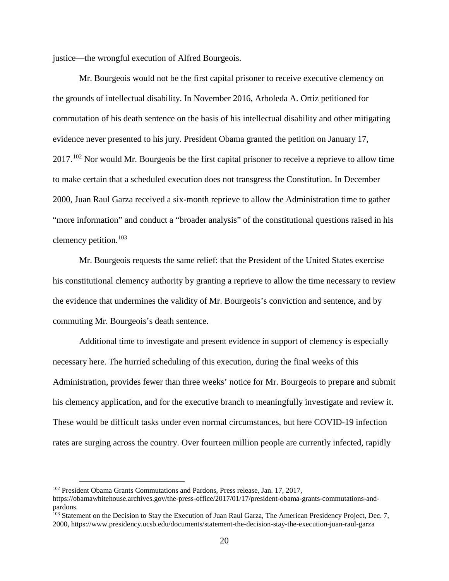justice—the wrongful execution of Alfred Bourgeois.

Mr. Bourgeois would not be the first capital prisoner to receive executive clemency on the grounds of intellectual disability. In November 2016, Arboleda A. Ortiz petitioned for commutation of his death sentence on the basis of his intellectual disability and other mitigating evidence never presented to his jury. President Obama granted the petition on January 17, 2017.[102](#page-19-0) Nor would Mr. Bourgeois be the first capital prisoner to receive a reprieve to allow time to make certain that a scheduled execution does not transgress the Constitution. In December 2000, Juan Raul Garza received a six-month reprieve to allow the Administration time to gather "more information" and conduct a "broader analysis" of the constitutional questions raised in his clemency petition.[103](#page-19-1)

Mr. Bourgeois requests the same relief: that the President of the United States exercise his constitutional clemency authority by granting a reprieve to allow the time necessary to review the evidence that undermines the validity of Mr. Bourgeois's conviction and sentence, and by commuting Mr. Bourgeois's death sentence.

Additional time to investigate and present evidence in support of clemency is especially necessary here. The hurried scheduling of this execution, during the final weeks of this Administration, provides fewer than three weeks' notice for Mr. Bourgeois to prepare and submit his clemency application, and for the executive branch to meaningfully investigate and review it. These would be difficult tasks under even normal circumstances, but here COVID-19 infection rates are surging across the country. Over fourteen million people are currently infected, rapidly

<span id="page-19-0"></span><sup>&</sup>lt;sup>102</sup> President Obama Grants Commutations and Pardons, Press release, Jan. 17, 2017,

https://obamawhitehouse.archives.gov/the-press-office/2017/01/17/president-obama-grants-commutations-andpardons.

<span id="page-19-1"></span><sup>&</sup>lt;sup>103</sup> Statement on the Decision to Stay the Execution of Juan Raul Garza, The American Presidency Project, Dec. 7, 2000, https://www.presidency.ucsb.edu/documents/statement-the-decision-stay-the-execution-juan-raul-garza